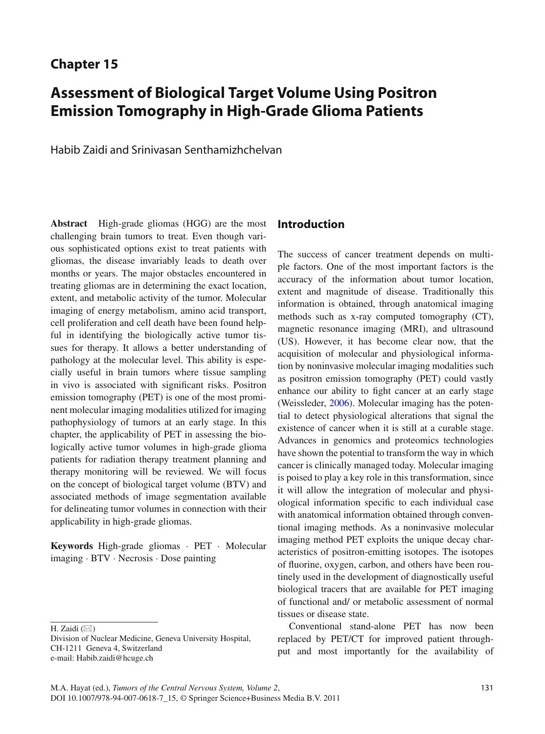# **Chapter 15**

# **Assessment of Biological Target Volume Using Positron Emission Tomography in High-Grade Glioma Patients**

Habib Zaidi and Srinivasan Senthamizhchelvan

**Abstract** High-grade gliomas (HGG) are the most challenging brain tumors to treat. Even though various sophisticated options exist to treat patients with gliomas, the disease invariably leads to death over months or years. The major obstacles encountered in treating gliomas are in determining the exact location, extent, and metabolic activity of the tumor. Molecular imaging of energy metabolism, amino acid transport, cell proliferation and cell death have been found helpful in identifying the biologically active tumor tissues for therapy. It allows a better understanding of pathology at the molecular level. This ability is especially useful in brain tumors where tissue sampling in vivo is associated with significant risks. Positron emission tomography (PET) is one of the most prominent molecular imaging modalities utilized for imaging pathophysiology of tumors at an early stage. In this chapter, the applicability of PET in assessing the biologically active tumor volumes in high-grade glioma patients for radiation therapy treatment planning and therapy monitoring will be reviewed. We will focus on the concept of biological target volume (BTV) and associated methods of image segmentation available for delineating tumor volumes in connection with their applicability in high-grade gliomas.

**Keywords** High-grade gliomas · PET · Molecular imaging · BTV · Necrosis · Dose painting

#### **Introduction**

The success of cancer treatment depends on multiple factors. One of the most important factors is the accuracy of the information about tumor location, extent and magnitude of disease. Traditionally this information is obtained, through anatomical imaging methods such as x-ray computed tomography (CT), magnetic resonance imaging (MRI), and ultrasound (US). However, it has become clear now, that the acquisition of molecular and physiological information by noninvasive molecular imaging modalities such as positron emission tomography (PET) could vastly enhance our ability to fight cancer at an early stage (Weissleder, [2006\)](#page-10-0). Molecular imaging has the potential to detect physiological alterations that signal the existence of cancer when it is still at a curable stage. Advances in genomics and proteomics technologies have shown the potential to transform the way in which cancer is clinically managed today. Molecular imaging is poised to play a key role in this transformation, since it will allow the integration of molecular and physiological information specific to each individual case with anatomical information obtained through conventional imaging methods. As a noninvasive molecular imaging method PET exploits the unique decay characteristics of positron-emitting isotopes. The isotopes of fluorine, oxygen, carbon, and others have been routinely used in the development of diagnostically useful biological tracers that are available for PET imaging of functional and/ or metabolic assessment of normal tissues or disease state.

Conventional stand-alone PET has now been replaced by PET/CT for improved patient throughput and most importantly for the availability of

H. Zaidi  $(\boxtimes)$ 

Division of Nuclear Medicine, Geneva University Hospital, CH-1211 Geneva 4, Switzerland e-mail: Habib.zaidi@hcuge.ch

M.A. Hayat (ed.), *Tumors of the Central Nervous System, Volume 2*, 131

DOI 10.1007/978-94-007-0618-7\_15, © Springer Science+Business Media B.V. 2011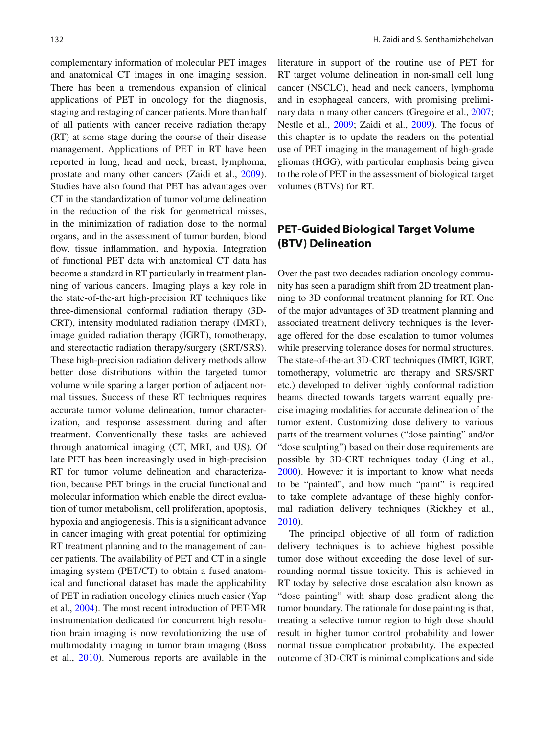complementary information of molecular PET images and anatomical CT images in one imaging session. There has been a tremendous expansion of clinical applications of PET in oncology for the diagnosis, staging and restaging of cancer patients. More than half of all patients with cancer receive radiation therapy (RT) at some stage during the course of their disease management. Applications of PET in RT have been reported in lung, head and neck, breast, lymphoma, prostate and many other cancers (Zaidi et al., [2009\)](#page-10-1). Studies have also found that PET has advantages over CT in the standardization of tumor volume delineation in the reduction of the risk for geometrical misses, in the minimization of radiation dose to the normal organs, and in the assessment of tumor burden, blood flow, tissue inflammation, and hypoxia. Integration of functional PET data with anatomical CT data has become a standard in RT particularly in treatment planning of various cancers. Imaging plays a key role in the state-of-the-art high-precision RT techniques like three-dimensional conformal radiation therapy (3D-CRT), intensity modulated radiation therapy (IMRT), image guided radiation therapy (IGRT), tomotherapy, and stereotactic radiation therapy/surgery (SRT/SRS). These high-precision radiation delivery methods allow better dose distributions within the targeted tumor volume while sparing a larger portion of adjacent normal tissues. Success of these RT techniques requires accurate tumor volume delineation, tumor characterization, and response assessment during and after treatment. Conventionally these tasks are achieved through anatomical imaging (CT, MRI, and US). Of late PET has been increasingly used in high-precision RT for tumor volume delineation and characterization, because PET brings in the crucial functional and molecular information which enable the direct evaluation of tumor metabolism, cell proliferation, apoptosis, hypoxia and angiogenesis. This is a significant advance in cancer imaging with great potential for optimizing RT treatment planning and to the management of cancer patients. The availability of PET and CT in a single imaging system (PET/CT) to obtain a fused anatomical and functional dataset has made the applicability of PET in radiation oncology clinics much easier (Yap et al., [2004\)](#page-10-2). The most recent introduction of PET-MR instrumentation dedicated for concurrent high resolution brain imaging is now revolutionizing the use of multimodality imaging in tumor brain imaging (Boss et al., [2010\)](#page-9-0). Numerous reports are available in the literature in support of the routine use of PET for RT target volume delineation in non-small cell lung cancer (NSCLC), head and neck cancers, lymphoma and in esophageal cancers, with promising preliminary data in many other cancers (Gregoire et al., [2007;](#page-9-1) Nestle et al., [2009;](#page-10-3) Zaidi et al., [2009\)](#page-10-1). The focus of this chapter is to update the readers on the potential use of PET imaging in the management of high-grade gliomas (HGG), with particular emphasis being given to the role of PET in the assessment of biological target volumes (BTVs) for RT.

#### **PET-Guided Biological Target Volume (BTV) Delineation**

Over the past two decades radiation oncology community has seen a paradigm shift from 2D treatment planning to 3D conformal treatment planning for RT. One of the major advantages of 3D treatment planning and associated treatment delivery techniques is the leverage offered for the dose escalation to tumor volumes while preserving tolerance doses for normal structures. The state-of-the-art 3D-CRT techniques (IMRT, IGRT, tomotherapy, volumetric arc therapy and SRS/SRT etc.) developed to deliver highly conformal radiation beams directed towards targets warrant equally precise imaging modalities for accurate delineation of the tumor extent. Customizing dose delivery to various parts of the treatment volumes ("dose painting" and/or "dose sculpting") based on their dose requirements are possible by 3D-CRT techniques today (Ling et al., [2000\)](#page-10-4). However it is important to know what needs to be "painted", and how much "paint" is required to take complete advantage of these highly conformal radiation delivery techniques (Rickhey et al., [2010\)](#page-10-5).

The principal objective of all form of radiation delivery techniques is to achieve highest possible tumor dose without exceeding the dose level of surrounding normal tissue toxicity. This is achieved in RT today by selective dose escalation also known as "dose painting" with sharp dose gradient along the tumor boundary. The rationale for dose painting is that, treating a selective tumor region to high dose should result in higher tumor control probability and lower normal tissue complication probability. The expected outcome of 3D-CRT is minimal complications and side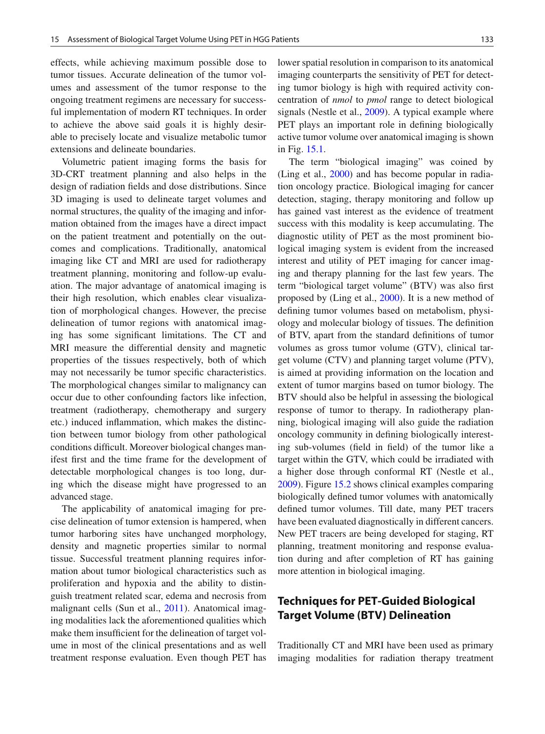effects, while achieving maximum possible dose to tumor tissues. Accurate delineation of the tumor volumes and assessment of the tumor response to the ongoing treatment regimens are necessary for successful implementation of modern RT techniques. In order to achieve the above said goals it is highly desirable to precisely locate and visualize metabolic tumor extensions and delineate boundaries.

Volumetric patient imaging forms the basis for 3D-CRT treatment planning and also helps in the design of radiation fields and dose distributions. Since 3D imaging is used to delineate target volumes and normal structures, the quality of the imaging and information obtained from the images have a direct impact on the patient treatment and potentially on the outcomes and complications. Traditionally, anatomical imaging like CT and MRI are used for radiotherapy treatment planning, monitoring and follow-up evaluation. The major advantage of anatomical imaging is their high resolution, which enables clear visualization of morphological changes. However, the precise delineation of tumor regions with anatomical imaging has some significant limitations. The CT and MRI measure the differential density and magnetic properties of the tissues respectively, both of which may not necessarily be tumor specific characteristics. The morphological changes similar to malignancy can occur due to other confounding factors like infection, treatment (radiotherapy, chemotherapy and surgery etc.) induced inflammation, which makes the distinction between tumor biology from other pathological conditions difficult. Moreover biological changes manifest first and the time frame for the development of detectable morphological changes is too long, during which the disease might have progressed to an advanced stage.

The applicability of anatomical imaging for precise delineation of tumor extension is hampered, when tumor harboring sites have unchanged morphology, density and magnetic properties similar to normal tissue. Successful treatment planning requires information about tumor biological characteristics such as proliferation and hypoxia and the ability to distinguish treatment related scar, edema and necrosis from malignant cells (Sun et al., [2011\)](#page-10-6). Anatomical imaging modalities lack the aforementioned qualities which make them insufficient for the delineation of target volume in most of the clinical presentations and as well treatment response evaluation. Even though PET has lower spatial resolution in comparison to its anatomical imaging counterparts the sensitivity of PET for detecting tumor biology is high with required activity concentration of *nmol* to *pmol* range to detect biological signals (Nestle et al., [2009\)](#page-10-3). A typical example where PET plays an important role in defining biologically active tumor volume over anatomical imaging is shown in Fig. [15.1.](#page-3-0)

The term "biological imaging" was coined by (Ling et al., [2000\)](#page-10-4) and has become popular in radiation oncology practice. Biological imaging for cancer detection, staging, therapy monitoring and follow up has gained vast interest as the evidence of treatment success with this modality is keep accumulating. The diagnostic utility of PET as the most prominent biological imaging system is evident from the increased interest and utility of PET imaging for cancer imaging and therapy planning for the last few years. The term "biological target volume" (BTV) was also first proposed by (Ling et al., [2000\)](#page-10-4). It is a new method of defining tumor volumes based on metabolism, physiology and molecular biology of tissues. The definition of BTV, apart from the standard definitions of tumor volumes as gross tumor volume (GTV), clinical target volume (CTV) and planning target volume (PTV), is aimed at providing information on the location and extent of tumor margins based on tumor biology. The BTV should also be helpful in assessing the biological response of tumor to therapy. In radiotherapy planning, biological imaging will also guide the radiation oncology community in defining biologically interesting sub-volumes (field in field) of the tumor like a target within the GTV, which could be irradiated with a higher dose through conformal RT (Nestle et al., [2009\)](#page-10-3). Figure [15.2](#page-3-1) shows clinical examples comparing biologically defined tumor volumes with anatomically defined tumor volumes. Till date, many PET tracers have been evaluated diagnostically in different cancers. New PET tracers are being developed for staging, RT planning, treatment monitoring and response evaluation during and after completion of RT has gaining more attention in biological imaging.

### **Techniques for PET-Guided Biological Target Volume (BTV) Delineation**

Traditionally CT and MRI have been used as primary imaging modalities for radiation therapy treatment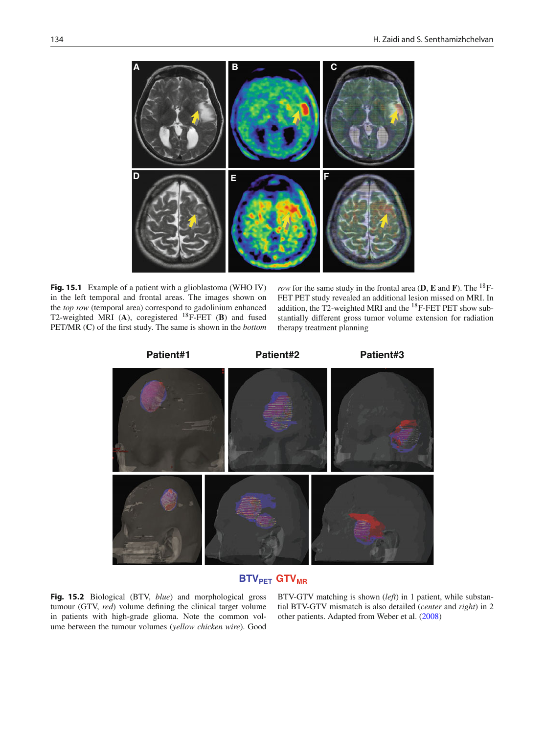

**Fig. 15.1** Example of a patient with a glioblastoma (WHO IV) in the left temporal and frontal areas. The images shown on the *top row* (temporal area) correspond to gadolinium enhanced T2-weighted MRI (**A**), coregistered 18F-FET (**B**) and fused PET/MR (**C**) of the first study. The same is shown in the *bottom*

<span id="page-3-0"></span>*row* for the same study in the frontal area  $(D, E \text{ and } F)$ . The <sup>18</sup>F-FET PET study revealed an additional lesion missed on MRI. In addition, the T2-weighted MRI and the 18F-FET PET show substantially different gross tumor volume extension for radiation therapy treatment planning



#### **BTV<sub>PET</sub>** GTV<sub>MR</sub>

**Fig. 15.2** Biological (BTV, *blue*) and morphological gross tumour (GTV, *red*) volume defining the clinical target volume in patients with high-grade glioma. Note the common volume between the tumour volumes (*yellow chicken wire*). Good

<span id="page-3-1"></span>BTV-GTV matching is shown (*left*) in 1 patient, while substantial BTV-GTV mismatch is also detailed (*center* and *right*) in 2 other patients. Adapted from Weber et al. [\(2008\)](#page-10-7)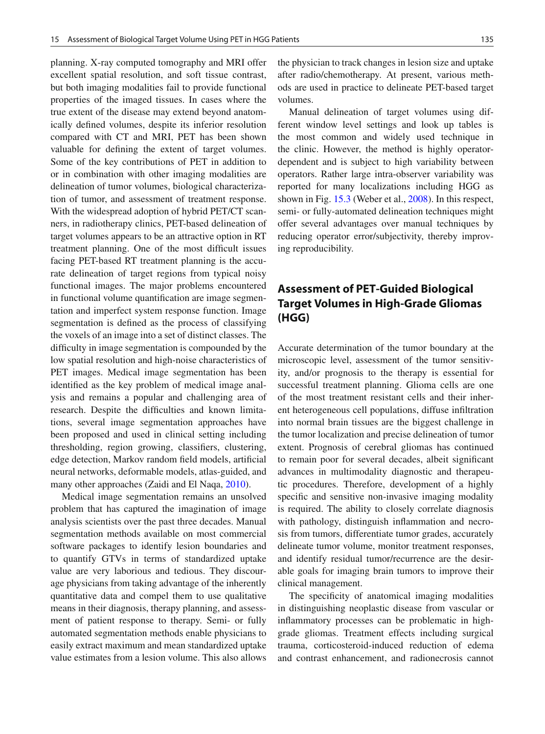planning. X-ray computed tomography and MRI offer excellent spatial resolution, and soft tissue contrast, but both imaging modalities fail to provide functional properties of the imaged tissues. In cases where the true extent of the disease may extend beyond anatomically defined volumes, despite its inferior resolution compared with CT and MRI, PET has been shown valuable for defining the extent of target volumes. Some of the key contributions of PET in addition to or in combination with other imaging modalities are delineation of tumor volumes, biological characterization of tumor, and assessment of treatment response. With the widespread adoption of hybrid PET/CT scanners, in radiotherapy clinics, PET-based delineation of target volumes appears to be an attractive option in RT treatment planning. One of the most difficult issues facing PET-based RT treatment planning is the accurate delineation of target regions from typical noisy functional images. The major problems encountered in functional volume quantification are image segmentation and imperfect system response function. Image segmentation is defined as the process of classifying the voxels of an image into a set of distinct classes. The difficulty in image segmentation is compounded by the low spatial resolution and high-noise characteristics of PET images. Medical image segmentation has been identified as the key problem of medical image analysis and remains a popular and challenging area of research. Despite the difficulties and known limitations, several image segmentation approaches have been proposed and used in clinical setting including thresholding, region growing, classifiers, clustering, edge detection, Markov random field models, artificial neural networks, deformable models, atlas-guided, and many other approaches (Zaidi and El Naqa, [2010\)](#page-10-8).

Medical image segmentation remains an unsolved problem that has captured the imagination of image analysis scientists over the past three decades. Manual segmentation methods available on most commercial software packages to identify lesion boundaries and to quantify GTVs in terms of standardized uptake value are very laborious and tedious. They discourage physicians from taking advantage of the inherently quantitative data and compel them to use qualitative means in their diagnosis, therapy planning, and assessment of patient response to therapy. Semi- or fully automated segmentation methods enable physicians to easily extract maximum and mean standardized uptake value estimates from a lesion volume. This also allows the physician to track changes in lesion size and uptake after radio/chemotherapy. At present, various methods are used in practice to delineate PET-based target volumes.

Manual delineation of target volumes using different window level settings and look up tables is the most common and widely used technique in the clinic. However, the method is highly operatordependent and is subject to high variability between operators. Rather large intra-observer variability was reported for many localizations including HGG as shown in Fig. [15.3](#page-5-0) (Weber et al., [2008\)](#page-10-7). In this respect, semi- or fully-automated delineation techniques might offer several advantages over manual techniques by reducing operator error/subjectivity, thereby improving reproducibility.

### **Assessment of PET-Guided Biological Target Volumes in High-Grade Gliomas (HGG)**

Accurate determination of the tumor boundary at the microscopic level, assessment of the tumor sensitivity, and/or prognosis to the therapy is essential for successful treatment planning. Glioma cells are one of the most treatment resistant cells and their inherent heterogeneous cell populations, diffuse infiltration into normal brain tissues are the biggest challenge in the tumor localization and precise delineation of tumor extent. Prognosis of cerebral gliomas has continued to remain poor for several decades, albeit significant advances in multimodality diagnostic and therapeutic procedures. Therefore, development of a highly specific and sensitive non-invasive imaging modality is required. The ability to closely correlate diagnosis with pathology, distinguish inflammation and necrosis from tumors, differentiate tumor grades, accurately delineate tumor volume, monitor treatment responses, and identify residual tumor/recurrence are the desirable goals for imaging brain tumors to improve their clinical management.

The specificity of anatomical imaging modalities in distinguishing neoplastic disease from vascular or inflammatory processes can be problematic in highgrade gliomas. Treatment effects including surgical trauma, corticosteroid-induced reduction of edema and contrast enhancement, and radionecrosis cannot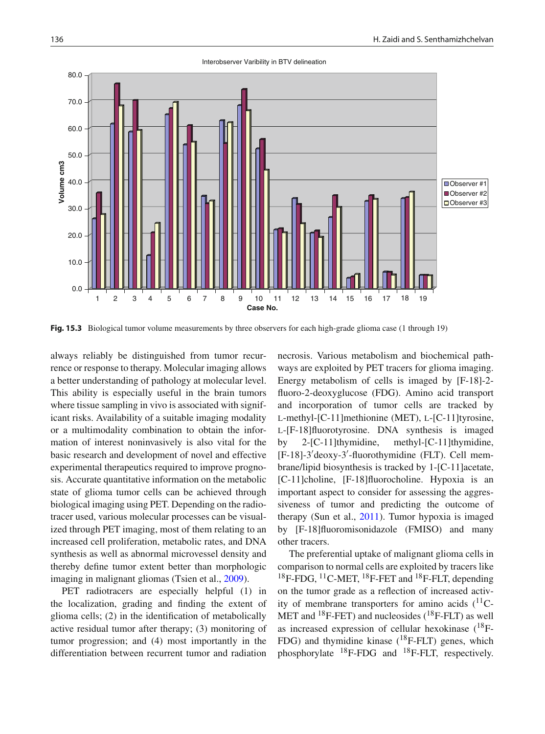Interobserver Varibility in BTV delineation



**Fig. 15.3** Biological tumor volume measurements by three observers for each high-grade glioma case (1 through 19)

always reliably be distinguished from tumor recurrence or response to therapy. Molecular imaging allows a better understanding of pathology at molecular level. This ability is especially useful in the brain tumors where tissue sampling in vivo is associated with significant risks. Availability of a suitable imaging modality or a multimodality combination to obtain the information of interest noninvasively is also vital for the basic research and development of novel and effective experimental therapeutics required to improve prognosis. Accurate quantitative information on the metabolic state of glioma tumor cells can be achieved through biological imaging using PET. Depending on the radiotracer used, various molecular processes can be visualized through PET imaging, most of them relating to an increased cell proliferation, metabolic rates, and DNA synthesis as well as abnormal microvessel density and thereby define tumor extent better than morphologic imaging in malignant gliomas (Tsien et al., [2009\)](#page-10-9).

PET radiotracers are especially helpful (1) in the localization, grading and finding the extent of glioma cells; (2) in the identification of metabolically active residual tumor after therapy; (3) monitoring of tumor progression; and (4) most importantly in the differentiation between recurrent tumor and radiation <span id="page-5-0"></span>necrosis. Various metabolism and biochemical pathways are exploited by PET tracers for glioma imaging. Energy metabolism of cells is imaged by [F-18]-2 fluoro-2-deoxyglucose (FDG). Amino acid transport and incorporation of tumor cells are tracked by L-methyl-[C-11]methionine (MET), L-[C-11]tyrosine, L-[F-18]fluorotyrosine. DNA synthesis is imaged by 2-[C-11]thymidine, methyl-[C-11]thymidine, [F-18]-3 deoxy-3 -fluorothymidine (FLT). Cell membrane/lipid biosynthesis is tracked by 1-[C-11]acetate, [C-11]choline, [F-18]fluorocholine. Hypoxia is an important aspect to consider for assessing the aggressiveness of tumor and predicting the outcome of therapy (Sun et al., [2011\)](#page-10-6). Tumor hypoxia is imaged by [F-18]fluoromisonidazole (FMISO) and many other tracers.

The preferential uptake of malignant glioma cells in comparison to normal cells are exploited by tracers like  $^{18}$ F-FDG,  $^{11}$ C-MET,  $^{18}$ F-FET and  $^{18}$ F-FLT, depending on the tumor grade as a reflection of increased activity of membrane transporters for amino acids  $(^{11}C-$ MET and  $^{18}$ F-FET) and nucleosides ( $^{18}$ F-FLT) as well as increased expression of cellular hexokinase  $(^{18}F-$ FDG) and thymidine kinase  $(^{18}F-FLT)$  genes, which phosphorylate 18F-FDG and 18F-FLT, respectively.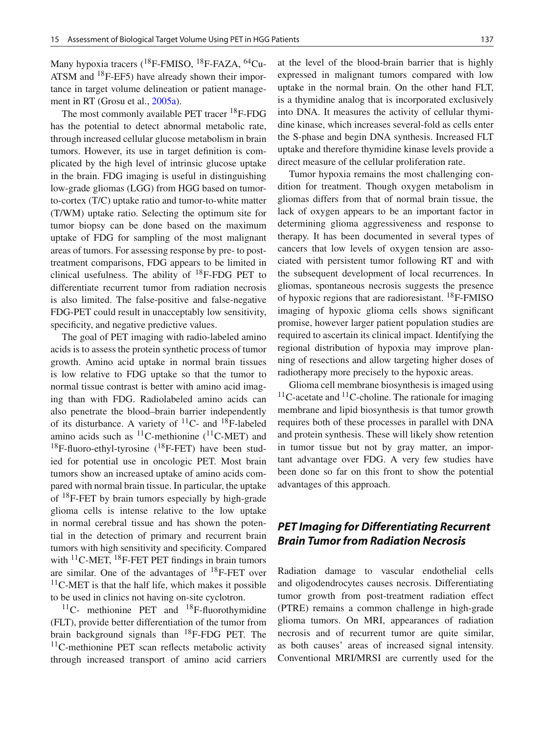Many hypoxia tracers  $(^{18}F$ -FMISO,  $^{18}F$ -FAZA,  $^{64}Cu$ -ATSM and  $^{18}$ F-EF5) have already shown their importance in target volume delineation or patient management in RT (Grosu et al., [2005a\)](#page-9-2).

The most commonly available PET tracer <sup>18</sup>F-FDG has the potential to detect abnormal metabolic rate, through increased cellular glucose metabolism in brain tumors. However, its use in target definition is complicated by the high level of intrinsic glucose uptake in the brain. FDG imaging is useful in distinguishing low-grade gliomas (LGG) from HGG based on tumorto-cortex (T/C) uptake ratio and tumor-to-white matter (T/WM) uptake ratio. Selecting the optimum site for tumor biopsy can be done based on the maximum uptake of FDG for sampling of the most malignant areas of tumors. For assessing response by pre- to posttreatment comparisons, FDG appears to be limited in clinical usefulness. The ability of  $^{18}$ F-FDG PET to differentiate recurrent tumor from radiation necrosis is also limited. The false-positive and false-negative FDG-PET could result in unacceptably low sensitivity, specificity, and negative predictive values.

The goal of PET imaging with radio-labeled amino acids is to assess the protein synthetic process of tumor growth. Amino acid uptake in normal brain tissues is low relative to FDG uptake so that the tumor to normal tissue contrast is better with amino acid imaging than with FDG. Radiolabeled amino acids can also penetrate the blood–brain barrier independently of its disturbance. A variety of  $^{11}$ C- and  $^{18}$ F-labeled amino acids such as  ${}^{11}$ C-methionine ( ${}^{11}$ C-MET) and <sup>18</sup>F-fluoro-ethyl-tyrosine (<sup>18</sup>F-FET) have been studied for potential use in oncologic PET. Most brain tumors show an increased uptake of amino acids compared with normal brain tissue. In particular, the uptake of  $18$ F-FET by brain tumors especially by high-grade glioma cells is intense relative to the low uptake in normal cerebral tissue and has shown the potential in the detection of primary and recurrent brain tumors with high sensitivity and specificity. Compared with  $^{11}$ C-MET,  $^{18}$ F-FET PET findings in brain tumors are similar. One of the advantages of  $^{18}$ F-FET over  $<sup>11</sup>C-MET$  is that the half life, which makes it possible</sup> to be used in clinics not having on-site cyclotron.

 $11C$ - methionine PET and  $18F$ -fluorothymidine (FLT), provide better differentiation of the tumor from brain background signals than  ${}^{18}$ F-FDG PET. The  $11$ C-methionine PET scan reflects metabolic activity through increased transport of amino acid carriers at the level of the blood-brain barrier that is highly expressed in malignant tumors compared with low uptake in the normal brain. On the other hand FLT, is a thymidine analog that is incorporated exclusively into DNA. It measures the activity of cellular thymidine kinase, which increases several-fold as cells enter the S-phase and begin DNA synthesis. Increased FLT uptake and therefore thymidine kinase levels provide a direct measure of the cellular proliferation rate.

Tumor hypoxia remains the most challenging condition for treatment. Though oxygen metabolism in gliomas differs from that of normal brain tissue, the lack of oxygen appears to be an important factor in determining glioma aggressiveness and response to therapy. It has been documented in several types of cancers that low levels of oxygen tension are associated with persistent tumor following RT and with the subsequent development of local recurrences. In gliomas, spontaneous necrosis suggests the presence of hypoxic regions that are radioresistant. 18F-FMISO imaging of hypoxic glioma cells shows significant promise, however larger patient population studies are required to ascertain its clinical impact. Identifying the regional distribution of hypoxia may improve planning of resections and allow targeting higher doses of radiotherapy more precisely to the hypoxic areas.

Glioma cell membrane biosynthesis is imaged using  $11$ C-acetate and  $11$ C-choline. The rationale for imaging membrane and lipid biosynthesis is that tumor growth requires both of these processes in parallel with DNA and protein synthesis. These will likely show retention in tumor tissue but not by gray matter, an important advantage over FDG. A very few studies have been done so far on this front to show the potential advantages of this approach.

### *PET Imaging for Differentiating Recurrent Brain Tumor from Radiation Necrosis*

Radiation damage to vascular endothelial cells and oligodendrocytes causes necrosis. Differentiating tumor growth from post-treatment radiation effect (PTRE) remains a common challenge in high-grade glioma tumors. On MRI, appearances of radiation necrosis and of recurrent tumor are quite similar, as both causes' areas of increased signal intensity. Conventional MRI/MRSI are currently used for the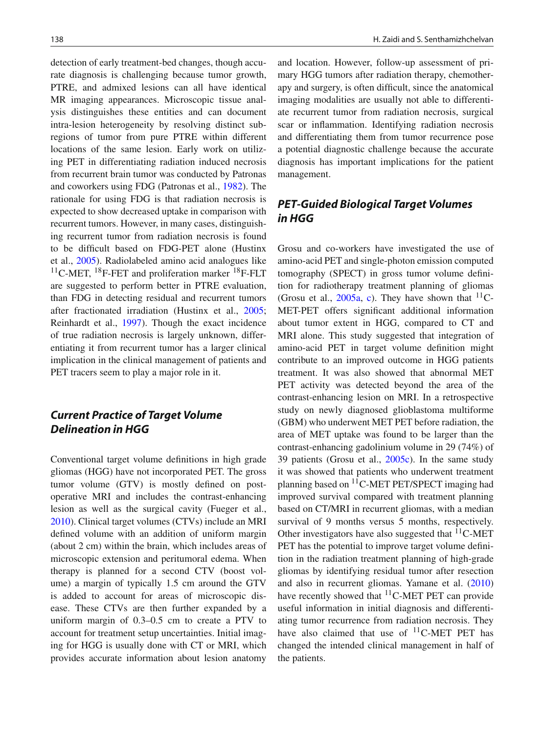138 H. Zaidi and S. Senthamizhchelvan

rate diagnosis is challenging because tumor growth, PTRE, and admixed lesions can all have identical MR imaging appearances. Microscopic tissue analysis distinguishes these entities and can document intra-lesion heterogeneity by resolving distinct subregions of tumor from pure PTRE within different locations of the same lesion. Early work on utilizing PET in differentiating radiation induced necrosis from recurrent brain tumor was conducted by Patronas and coworkers using FDG (Patronas et al., [1982\)](#page-10-10). The rationale for using FDG is that radiation necrosis is expected to show decreased uptake in comparison with recurrent tumors. However, in many cases, distinguishing recurrent tumor from radiation necrosis is found to be difficult based on FDG-PET alone (Hustinx et al., [2005\)](#page-10-11). Radiolabeled amino acid analogues like  $^{11}$ C-MET,  $^{18}$ F-FET and proliferation marker  $^{18}$ F-FLT are suggested to perform better in PTRE evaluation, than FDG in detecting residual and recurrent tumors after fractionated irradiation (Hustinx et al., [2005;](#page-10-11) Reinhardt et al., [1997\)](#page-10-12). Though the exact incidence of true radiation necrosis is largely unknown, differentiating it from recurrent tumor has a larger clinical implication in the clinical management of patients and PET tracers seem to play a major role in it.

detection of early treatment-bed changes, though accu-

### *Current Practice of Target Volume Delineation in HGG*

Conventional target volume definitions in high grade gliomas (HGG) have not incorporated PET. The gross tumor volume (GTV) is mostly defined on postoperative MRI and includes the contrast-enhancing lesion as well as the surgical cavity (Fueger et al., [2010\)](#page-9-3). Clinical target volumes (CTVs) include an MRI defined volume with an addition of uniform margin (about 2 cm) within the brain, which includes areas of microscopic extension and peritumoral edema. When therapy is planned for a second CTV (boost volume) a margin of typically 1.5 cm around the GTV is added to account for areas of microscopic disease. These CTVs are then further expanded by a uniform margin of 0.3–0.5 cm to create a PTV to account for treatment setup uncertainties. Initial imaging for HGG is usually done with CT or MRI, which provides accurate information about lesion anatomy and location. However, follow-up assessment of primary HGG tumors after radiation therapy, chemotherapy and surgery, is often difficult, since the anatomical imaging modalities are usually not able to differentiate recurrent tumor from radiation necrosis, surgical scar or inflammation. Identifying radiation necrosis and differentiating them from tumor recurrence pose a potential diagnostic challenge because the accurate diagnosis has important implications for the patient management.

## *PET-Guided Biological Target Volumes in HGG*

Grosu and co-workers have investigated the use of amino-acid PET and single-photon emission computed tomography (SPECT) in gross tumor volume definition for radiotherapy treatment planning of gliomas (Grosu et al., [2005a,](#page-9-2) [c\)](#page-10-13). They have shown that  $^{11}C$ -MET-PET offers significant additional information about tumor extent in HGG, compared to CT and MRI alone. This study suggested that integration of amino-acid PET in target volume definition might contribute to an improved outcome in HGG patients treatment. It was also showed that abnormal MET PET activity was detected beyond the area of the contrast-enhancing lesion on MRI. In a retrospective study on newly diagnosed glioblastoma multiforme (GBM) who underwent MET PET before radiation, the area of MET uptake was found to be larger than the contrast-enhancing gadolinium volume in 29 (74%) of 39 patients (Grosu et al., [2005c\)](#page-10-13). In the same study it was showed that patients who underwent treatment planning based on  ${}^{11}$ C-MET PET/SPECT imaging had improved survival compared with treatment planning based on CT/MRI in recurrent gliomas, with a median survival of 9 months versus 5 months, respectively. Other investigators have also suggested that  ${}^{11}$ C-MET PET has the potential to improve target volume definition in the radiation treatment planning of high-grade gliomas by identifying residual tumor after resection and also in recurrent gliomas. Yamane et al. [\(2010\)](#page-10-14) have recently showed that  ${}^{11}$ C-MET PET can provide useful information in initial diagnosis and differentiating tumor recurrence from radiation necrosis. They have also claimed that use of  ${}^{11}$ C-MET PET has changed the intended clinical management in half of the patients.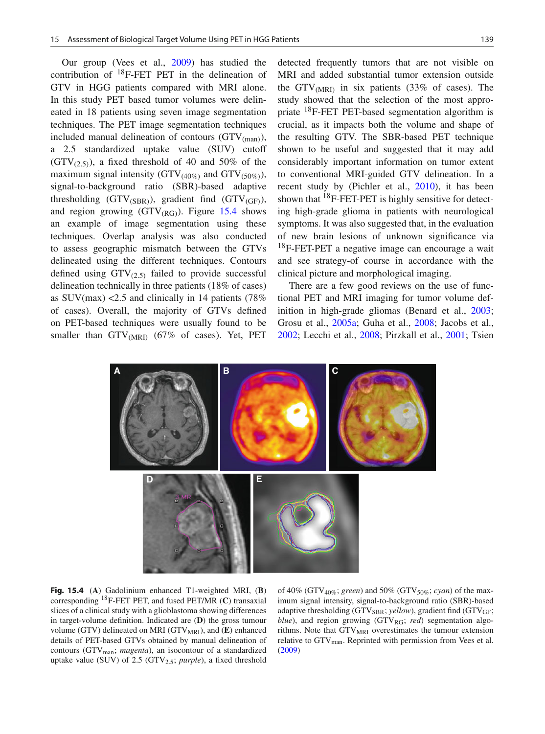Our group (Vees et al., [2009\)](#page-10-15) has studied the contribution of  $^{18}$ F-FET PET in the delineation of GTV in HGG patients compared with MRI alone. In this study PET based tumor volumes were delineated in 18 patients using seven image segmentation techniques. The PET image segmentation techniques included manual delineation of contours  $(GTV_{(man)})$ , a 2.5 standardized uptake value (SUV) cutoff  $(GTV_{(2,5)})$ , a fixed threshold of 40 and 50% of the maximum signal intensity (GTV $_{(40\%)}$  and GTV $_{(50\%)}$ ), signal-to-background ratio (SBR)-based adaptive thresholding  $(GTV_{(SBR)})$ , gradient find  $(GTV_{(GF)})$ , and region growing  $(GTV_{(RG)})$ . Figure [15.4](#page-8-0) shows an example of image segmentation using these techniques. Overlap analysis was also conducted to assess geographic mismatch between the GTVs delineated using the different techniques. Contours defined using  $GTV_{(2,5)}$  failed to provide successful delineation technically in three patients (18% of cases) as  $SUV(max) < 2.5$  and clinically in 14 patients (78%) of cases). Overall, the majority of GTVs defined on PET-based techniques were usually found to be smaller than GTV<sub>(MRI)</sub> (67% of cases). Yet, PET detected frequently tumors that are not visible on MRI and added substantial tumor extension outside the  $\text{GTV}_{\text{(MRI)}}$  in six patients (33% of cases). The study showed that the selection of the most appropriate <sup>18</sup>F-FET PET-based segmentation algorithm is crucial, as it impacts both the volume and shape of the resulting GTV. The SBR-based PET technique shown to be useful and suggested that it may add considerably important information on tumor extent to conventional MRI-guided GTV delineation. In a recent study by (Pichler et al., [2010\)](#page-10-16), it has been shown that  $^{18}$ F-FET-PET is highly sensitive for detecting high-grade glioma in patients with neurological symptoms. It was also suggested that, in the evaluation of new brain lesions of unknown significance via <sup>18</sup>F-FET-PET a negative image can encourage a wait and see strategy-of course in accordance with the clinical picture and morphological imaging.

There are a few good reviews on the use of functional PET and MRI imaging for tumor volume definition in high-grade gliomas (Benard et al., [2003;](#page-9-4) Grosu et al., [2005a;](#page-9-2) Guha et al., [2008;](#page-10-17) Jacobs et al., [2002;](#page-10-18) Lecchi et al., [2008;](#page-10-19) Pirzkall et al., [2001;](#page-10-20) Tsien

![](_page_8_Figure_4.jpeg)

**Fig. 15.4** (**A**) Gadolinium enhanced T1-weighted MRI, (**B**) corresponding 18F-FET PET, and fused PET/MR (**C**) transaxial slices of a clinical study with a glioblastoma showing differences in target-volume definition. Indicated are (**D**) the gross tumour volume (GTV) delineated on MRI (GTV<sub>MRI</sub>), and (**E**) enhanced details of PET-based GTVs obtained by manual delineation of contours (GTV<sub>man</sub>; *magenta*), an isocontour of a standardized uptake value (SUV) of 2.5 (GTV2.5; *purple*), a fixed threshold

<span id="page-8-0"></span>of 40% (GTV<sub>40%</sub>; *green*) and 50% (GTV<sub>50%</sub>; *cyan*) of the maximum signal intensity, signal-to-background ratio (SBR)-based adaptive thresholding (GTV<sub>SBR</sub>; *yellow*), gradient find (GTV<sub>GF</sub>; *blue*), and region growing (GTV<sub>RG</sub>; *red*) segmentation algorithms. Note that  $GTV<sub>MRI</sub>$  overestimates the tumour extension relative to  $GTV_{man}$ . Reprinted with permission from Vees et al. [\(2009\)](#page-10-15)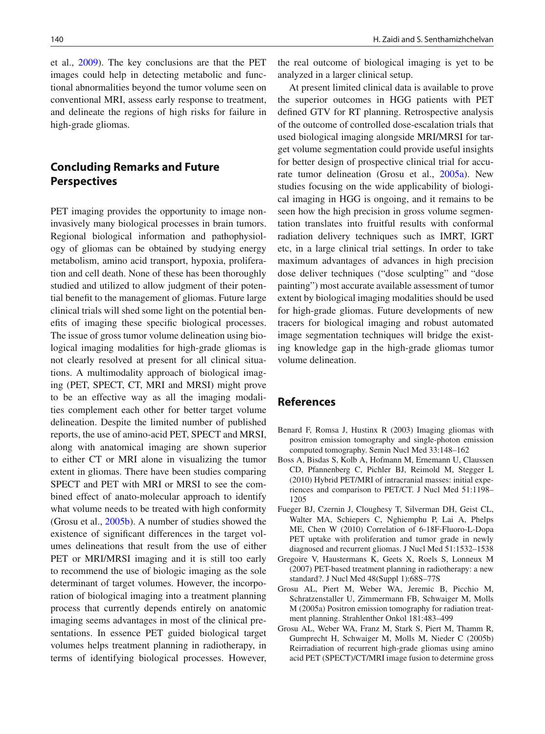et al., [2009\)](#page-10-9). The key conclusions are that the PET images could help in detecting metabolic and functional abnormalities beyond the tumor volume seen on conventional MRI, assess early response to treatment, and delineate the regions of high risks for failure in high-grade gliomas.

#### **Concluding Remarks and Future Perspectives**

PET imaging provides the opportunity to image noninvasively many biological processes in brain tumors. Regional biological information and pathophysiology of gliomas can be obtained by studying energy metabolism, amino acid transport, hypoxia, proliferation and cell death. None of these has been thoroughly studied and utilized to allow judgment of their potential benefit to the management of gliomas. Future large clinical trials will shed some light on the potential benefits of imaging these specific biological processes. The issue of gross tumor volume delineation using biological imaging modalities for high-grade gliomas is not clearly resolved at present for all clinical situations. A multimodality approach of biological imaging (PET, SPECT, CT, MRI and MRSI) might prove to be an effective way as all the imaging modalities complement each other for better target volume delineation. Despite the limited number of published reports, the use of amino-acid PET, SPECT and MRSI, along with anatomical imaging are shown superior to either CT or MRI alone in visualizing the tumor extent in gliomas. There have been studies comparing SPECT and PET with MRI or MRSI to see the combined effect of anato-molecular approach to identify what volume needs to be treated with high conformity (Grosu et al., [2005b\)](#page-10-21). A number of studies showed the existence of significant differences in the target volumes delineations that result from the use of either PET or MRI/MRSI imaging and it is still too early to recommend the use of biologic imaging as the sole determinant of target volumes. However, the incorporation of biological imaging into a treatment planning process that currently depends entirely on anatomic imaging seems advantages in most of the clinical presentations. In essence PET guided biological target volumes helps treatment planning in radiotherapy, in terms of identifying biological processes. However, the real outcome of biological imaging is yet to be analyzed in a larger clinical setup.

At present limited clinical data is available to prove the superior outcomes in HGG patients with PET defined GTV for RT planning. Retrospective analysis of the outcome of controlled dose-escalation trials that used biological imaging alongside MRI/MRSI for target volume segmentation could provide useful insights for better design of prospective clinical trial for accurate tumor delineation (Grosu et al., [2005a\)](#page-9-2). New studies focusing on the wide applicability of biological imaging in HGG is ongoing, and it remains to be seen how the high precision in gross volume segmentation translates into fruitful results with conformal radiation delivery techniques such as IMRT, IGRT etc, in a large clinical trial settings. In order to take maximum advantages of advances in high precision dose deliver techniques ("dose sculpting" and "dose painting") most accurate available assessment of tumor extent by biological imaging modalities should be used for high-grade gliomas. Future developments of new tracers for biological imaging and robust automated image segmentation techniques will bridge the existing knowledge gap in the high-grade gliomas tumor volume delineation.

#### **References**

- Benard F, Romsa J, Hustinx R (2003) Imaging gliomas with positron emission tomography and single-photon emission computed tomography. Semin Nucl Med 33:148–162
- <span id="page-9-4"></span>Boss A, Bisdas S, Kolb A, Hofmann M, Ernemann U, Claussen CD, Pfannenberg C, Pichler BJ, Reimold M, Stegger L (2010) Hybrid PET/MRI of intracranial masses: initial experiences and comparison to PET/CT. J Nucl Med 51:1198– 1205
- <span id="page-9-0"></span>Fueger BJ, Czernin J, Cloughesy T, Silverman DH, Geist CL, Walter MA, Schiepers C, Nghiemphu P, Lai A, Phelps ME, Chen W (2010) Correlation of 6-18F-Fluoro-L-Dopa PET uptake with proliferation and tumor grade in newly diagnosed and recurrent gliomas. J Nucl Med 51:1532–1538
- <span id="page-9-3"></span>Gregoire V, Haustermans K, Geets X, Roels S, Lonneux M (2007) PET-based treatment planning in radiotherapy: a new standard?. J Nucl Med 48(Suppl 1):68S–77S
- <span id="page-9-1"></span>Grosu AL, Piert M, Weber WA, Jeremic B, Picchio M, Schratzenstaller U, Zimmermann FB, Schwaiger M, Molls M (2005a) Positron emission tomography for radiation treatment planning. Strahlenther Onkol 181:483–499
- <span id="page-9-2"></span>Grosu AL, Weber WA, Franz M, Stark S, Piert M, Thamm R, Gumprecht H, Schwaiger M, Molls M, Nieder C (2005b) Reirradiation of recurrent high-grade gliomas using amino acid PET (SPECT)/CT/MRI image fusion to determine gross